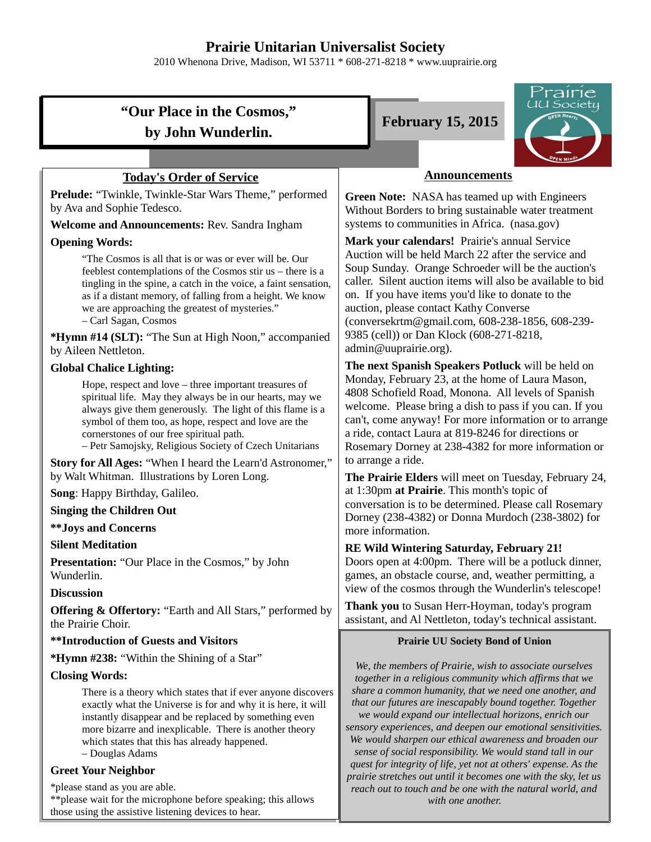# **Prairie Unitarian Universalist Society**

2010 Whenona Drive, Madison, WI 53711 \* 608-271-8218 \* www.uuprairie.org

# **"Our Place in the Cosmos," by John Wunderlin.**

#### **Today's Order of Service**

**Prelude:** "Twinkle, Twinkle-Star Wars Theme," performed by Ava and Sophie Tedesco.

**Welcome and Announcements:** Rev. Sandra Ingham

#### **Opening Words:**

"The Cosmos is all that is or was or ever will be. Our feeblest contemplations of the Cosmos stir us – there is a tingling in the spine, a catch in the voice, a faint sensation, as if a distant memory, of falling from a height. We know we are approaching the greatest of mysteries." – Carl Sagan, Cosmos

**\*Hymn #14 (SLT):** "The Sun at High Noon," accompanied by Aileen Nettleton.

#### **Global Chalice Lighting:**

Hope, respect and love – three important treasures of spiritual life. May they always be in our hearts, may we always give them generously. The light of this flame is a symbol of them too, as hope, respect and love are the cornerstones of our free spiritual path.

– Petr Samojsky, Religious Society of Czech Unitarians

**Story for All Ages:** "When I heard the Learn'd Astronomer," by Walt Whitman. Illustrations by Loren Long.

**Song**: Happy Birthday, Galileo.

#### **Singing the Children Out**

#### **\*\*Joys and Concerns**

#### **Silent Meditation**

**Presentation:** "Our Place in the Cosmos," by John Wunderlin.

#### **Discussion**

**Offering & Offertory:** "Earth and All Stars," performed by the Prairie Choir.

#### **\*\*Introduction of Guests and Visitors**

**\*Hymn #238:** "Within the Shining of a Star"

#### **Closing Words:**

There is a theory which states that if ever anyone discovers exactly what the Universe is for and why it is here, it will instantly disappear and be replaced by something even more bizarre and inexplicable. There is another theory which states that this has already happened. – Douglas Adams

#### **Greet Your Neighbor**

\*please stand as you are able.

\*\*please wait for the microphone before speaking; this allows those using the assistive listening devices to hear.





#### **Announcements**

**Green Note:** NASA has teamed up with Engineers Without Borders to bring sustainable water treatment systems to communities in Africa. (nasa.gov)

**Mark your calendars!** Prairie's annual Service Auction will be held March 22 after the service and Soup Sunday. Orange Schroeder will be the auction's caller. Silent auction items will also be available to bid on. If you have items you'd like to donate to the auction, please contact Kathy Converse (conversekrtm@gmail.com, 608-238-1856, 608-239- 9385 (cell)) or Dan Klock (608-271-8218, admin@uuprairie.org).

**The next Spanish Speakers Potluck** will be held on Monday, February 23, at the home of Laura Mason, 4808 Schofield Road, Monona. All levels of Spanish welcome. Please bring a dish to pass if you can. If you can't, come anyway! For more information or to arrange a ride, contact Laura at 819-8246 for directions or Rosemary Dorney at 238-4382 for more information or to arrange a ride.

**The Prairie Elders** will meet on Tuesday, February 24, at 1:30pm **at Prairie**. This month's topic of conversation is to be determined. Please call Rosemary Dorney (238-4382) or Donna Murdoch (238-3802) for more information.

#### **RE Wild Wintering Saturday, February 21!**

Doors open at 4:00pm. There will be a potluck dinner, games, an obstacle course, and, weather permitting, a view of the cosmos through the Wunderlin's telescope!

**Thank you** to Susan Herr-Hoyman, today's program assistant, and Al Nettleton, today's technical assistant.

#### **Prairie UU Society Bond of Union**

*We, the members of Prairie, wish to associate ourselves together in a religious community which affirms that we share a common humanity, that we need one another, and that our futures are inescapably bound together. Together we would expand our intellectual horizons, enrich our sensory experiences, and deepen our emotional sensitivities. We would sharpen our ethical awareness and broaden our sense of social responsibility. We would stand tall in our quest for integrity of life, yet not at others' expense. As the prairie stretches out until it becomes one with the sky, let us reach out to touch and be one with the natural world, and with one another.*